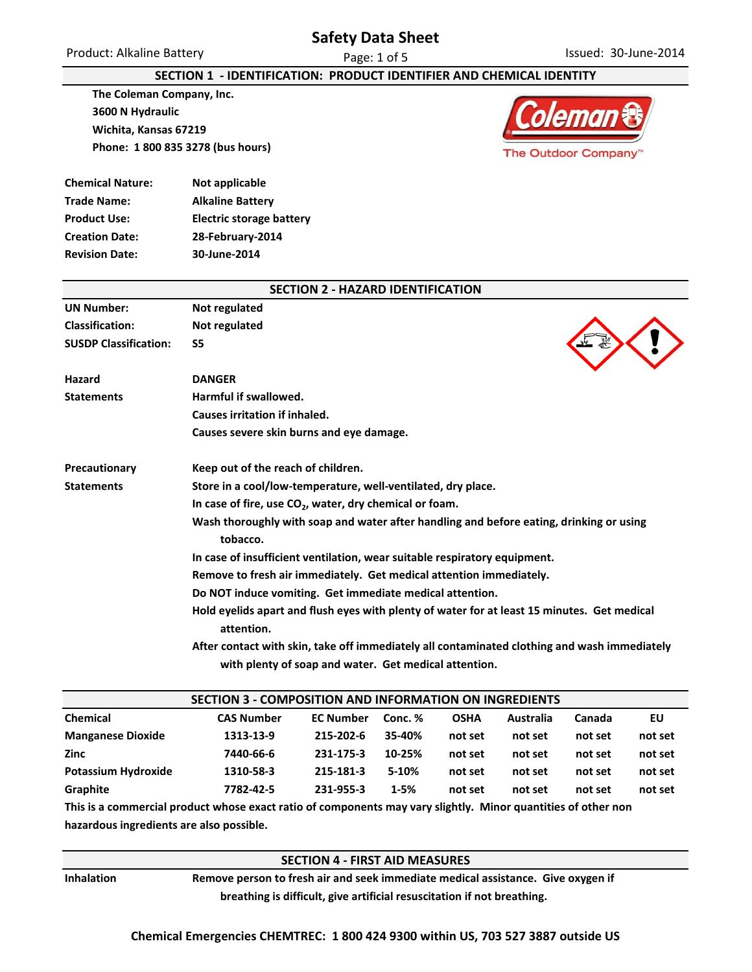## **Safety Data Sheet**

### **SECTION 1 - IDENTIFICATION: PRODUCT IDENTIFIER AND CHEMICAL IDENTITY**

**The Coleman Company, Inc. 3600 N Hydraulic Wichita, Kansas 67219 Phone: 1 800 835 3278 (bus hours)**



| <b>Chemical Nature:</b> | Not applicable                  |
|-------------------------|---------------------------------|
| <b>Trade Name:</b>      | <b>Alkaline Battery</b>         |
| <b>Product Use:</b>     | <b>Electric storage battery</b> |
| <b>Creation Date:</b>   | 28-February-2014                |
| <b>Revision Date:</b>   | 30-June-2014                    |
|                         |                                 |

|                              | <b>SECTION 2 - HAZARD IDENTIFICATION</b>                                                                                                              |
|------------------------------|-------------------------------------------------------------------------------------------------------------------------------------------------------|
| <b>UN Number:</b>            | Not regulated                                                                                                                                         |
| <b>Classification:</b>       | Not regulated                                                                                                                                         |
| <b>SUSDP Classification:</b> | S5                                                                                                                                                    |
| Hazard                       | <b>DANGER</b>                                                                                                                                         |
| <b>Statements</b>            | Harmful if swallowed.                                                                                                                                 |
|                              | Causes irritation if inhaled.                                                                                                                         |
|                              | Causes severe skin burns and eye damage.                                                                                                              |
| Precautionary                | Keep out of the reach of children.                                                                                                                    |
| <b>Statements</b>            | Store in a cool/low-temperature, well-ventilated, dry place.                                                                                          |
|                              | In case of fire, use $CO2$ , water, dry chemical or foam.                                                                                             |
|                              | Wash thoroughly with soap and water after handling and before eating, drinking or using<br>tobacco.                                                   |
|                              | In case of insufficient ventilation, wear suitable respiratory equipment.                                                                             |
|                              | Remove to fresh air immediately. Get medical attention immediately.                                                                                   |
|                              | Do NOT induce vomiting. Get immediate medical attention.                                                                                              |
|                              | Hold eyelids apart and flush eyes with plenty of water for at least 15 minutes. Get medical<br>attention.                                             |
|                              | After contact with skin, take off immediately all contaminated clothing and wash immediately<br>with plenty of soap and water. Get medical attention. |

| SECTION 3 - COMPOSITION AND INFORMATION ON INGREDIENTS                                                        |                   |                  |          |             |           |         |         |
|---------------------------------------------------------------------------------------------------------------|-------------------|------------------|----------|-------------|-----------|---------|---------|
| <b>Chemical</b>                                                                                               | <b>CAS Number</b> | <b>EC Number</b> | Conc. %  | <b>OSHA</b> | Australia | Canada  | EU      |
| <b>Manganese Dioxide</b>                                                                                      | 1313-13-9         | 215-202-6        | 35-40%   | not set     | not set   | not set | not set |
| Zinc                                                                                                          | 7440-66-6         | 231-175-3        | 10-25%   | not set     | not set   | not set | not set |
| <b>Potassium Hydroxide</b>                                                                                    | 1310-58-3         | 215-181-3        | 5-10%    | not set     | not set   | not set | not set |
| Graphite                                                                                                      | 7782-42-5         | 231-955-3        | $1 - 5%$ | not set     | not set   | not set | not set |
| This is a commercial product whose exact ratio of components may vary slightly. Minor quantities of other non |                   |                  |          |             |           |         |         |

**This is a commercial product whose exact ratio of components may vary slightly. Minor quantities of other non hazardous ingredients are also possible.**

### **SECTION 4 - FIRST AID MEASURES**

**Inhalation Remove person to fresh air and seek immediate medical assistance. Give oxygen if breathing is difficult, give artificial resuscitation if not breathing.**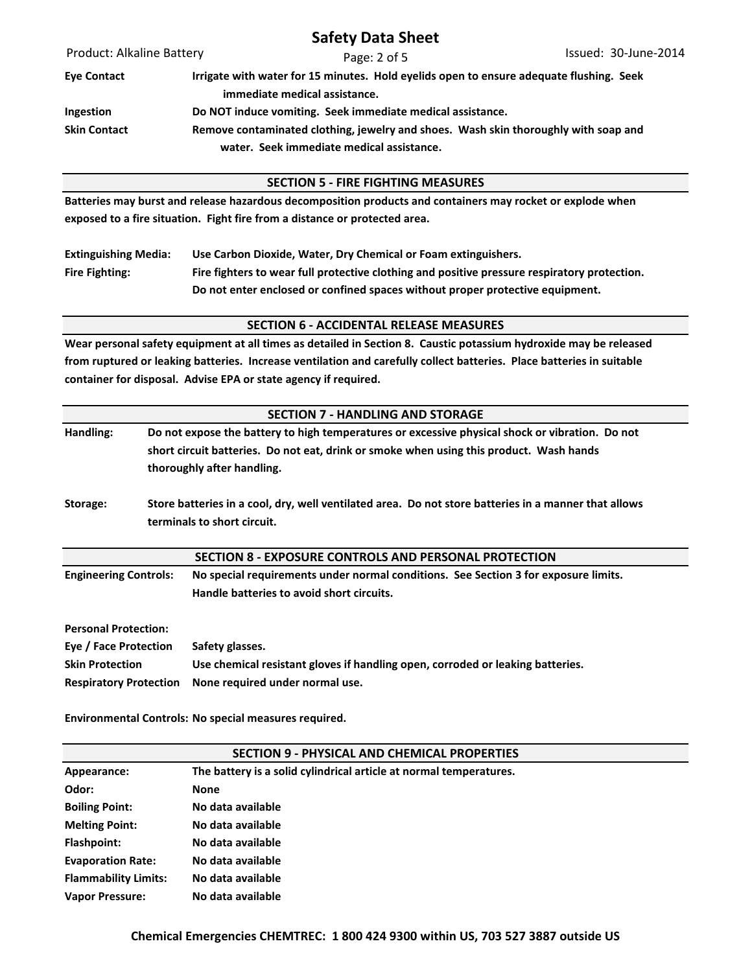Product: Alkaline Battery **Safety Data Sheet** Page: 2 of 5 Issued: 30-June-2014 **Eye Contact Irrigate with water for 15 minutes. Hold eyelids open to ensure adequate flushing. Seek immediate medical assistance. Ingestion Do NOT induce vomiting. Seek immediate medical assistance. Skin Contact Remove contaminated clothing, jewelry and shoes. Wash skin thoroughly with soap and water. Seek immediate medical assistance. Batteries may burst and release hazardous decomposition products and containers may rocket or explode when exposed to a fire situation. Fight fire from a distance or protected area. Extinguishing Media: Use Carbon Dioxide, Water, Dry Chemical or Foam extinguishers. Fire Fighting: Fire fighters to wear full protective clothing and positive pressure respiratory protection. Do not enter enclosed or confined spaces without proper protective equipment. Wear personal safety equipment at all times as detailed in Section 8. Caustic potassium hydroxide may be released from ruptured or leaking batteries. Increase ventilation and carefully collect batteries. Place batteries in suitable container for disposal. Advise EPA or state agency if required. SECTION 6 - ACCIDENTAL RELEASE MEASURES SECTION 5 - FIRE FIGHTING MEASURES**

|                               | <b>SECTION 7 - HANDLING AND STORAGE</b>                                                                                                                                                                                  |  |  |
|-------------------------------|--------------------------------------------------------------------------------------------------------------------------------------------------------------------------------------------------------------------------|--|--|
| Handling:                     | Do not expose the battery to high temperatures or excessive physical shock or vibration. Do not<br>short circuit batteries. Do not eat, drink or smoke when using this product. Wash hands<br>thoroughly after handling. |  |  |
| Storage:                      | Store batteries in a cool, dry, well ventilated area. Do not store batteries in a manner that allows<br>terminals to short circuit.                                                                                      |  |  |
|                               | SECTION 8 - EXPOSURE CONTROLS AND PERSONAL PROTECTION                                                                                                                                                                    |  |  |
| <b>Engineering Controls:</b>  | No special requirements under normal conditions. See Section 3 for exposure limits.<br>Handle batteries to avoid short circuits.                                                                                         |  |  |
| <b>Personal Protection:</b>   |                                                                                                                                                                                                                          |  |  |
| Eye / Face Protection         | Safety glasses.                                                                                                                                                                                                          |  |  |
| <b>Skin Protection</b>        | Use chemical resistant gloves if handling open, corroded or leaking batteries.                                                                                                                                           |  |  |
| <b>Respiratory Protection</b> | None required under normal use.                                                                                                                                                                                          |  |  |

**Environmental Controls: No special measures required.**

| SECTION 9 - PHYSICAL AND CHEMICAL PROPERTIES |                                                                    |  |  |
|----------------------------------------------|--------------------------------------------------------------------|--|--|
| Appearance:                                  | The battery is a solid cylindrical article at normal temperatures. |  |  |
| Odor:                                        | <b>None</b>                                                        |  |  |
| <b>Boiling Point:</b>                        | No data available                                                  |  |  |
| <b>Melting Point:</b>                        | No data available                                                  |  |  |
| Flashpoint:                                  | No data available                                                  |  |  |
| <b>Evaporation Rate:</b>                     | No data available                                                  |  |  |
| <b>Flammability Limits:</b>                  | No data available                                                  |  |  |
| <b>Vapor Pressure:</b>                       | No data available                                                  |  |  |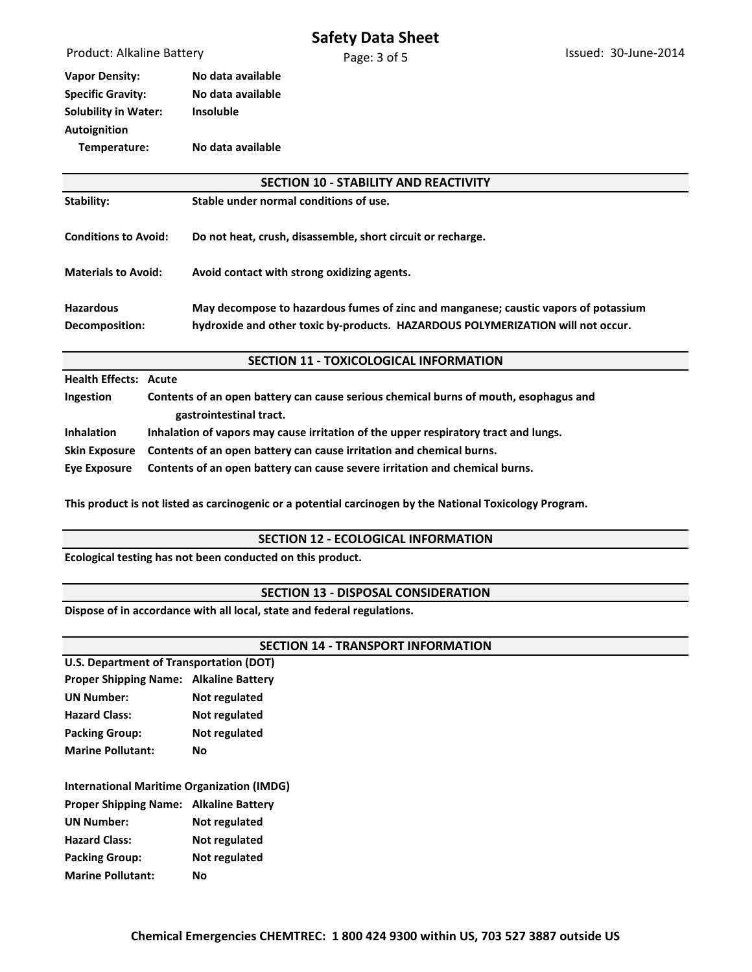**Vapor Density: No data available Specific Gravity: No data available Solubility in Water: Insoluble Autoignition Temperature: No data available**

| <b>SECTION 10 - STABILITY AND REACTIVITY</b> |                                                                                                                                                                        |  |  |
|----------------------------------------------|------------------------------------------------------------------------------------------------------------------------------------------------------------------------|--|--|
| Stability:                                   | Stable under normal conditions of use.                                                                                                                                 |  |  |
| <b>Conditions to Avoid:</b>                  | Do not heat, crush, disassemble, short circuit or recharge.                                                                                                            |  |  |
| <b>Materials to Avoid:</b>                   | Avoid contact with strong oxidizing agents.                                                                                                                            |  |  |
| <b>Hazardous</b><br>Decomposition:           | May decompose to hazardous fumes of zinc and manganese; caustic vapors of potassium<br>hydroxide and other toxic by-products. HAZARDOUS POLYMERIZATION will not occur. |  |  |

**SECTION 11 - TOXICOLOGICAL INFORMATION**

**Health Effects: Acute**

| Ingestion         | Contents of an open battery can cause serious chemical burns of mouth, esophagus and |  |
|-------------------|--------------------------------------------------------------------------------------|--|
|                   | gastrointestinal tract.                                                              |  |
| <b>Inhalation</b> | Inhalation of vapors may cause irritation of the upper respiratory tract and lungs.  |  |
|                   | Skin Exposure Contents of an open battery can cause irritation and chemical burns.   |  |
| Eye Exposure      | Contents of an open battery can cause severe irritation and chemical burns.          |  |

**This product is not listed as carcinogenic or a potential carcinogen by the National Toxicology Program.**

#### **SECTION 12 - ECOLOGICAL INFORMATION**

**Ecological testing has not been conducted on this product.**

#### **SECTION 13 - DISPOSAL CONSIDERATION**

**Dispose of in accordance with all local, state and federal regulations.**

| <b>SECTION 14 - TRANSPORT INFORMATION</b>         |               |  |  |
|---------------------------------------------------|---------------|--|--|
| U.S. Department of Transportation (DOT)           |               |  |  |
| <b>Proper Shipping Name: Alkaline Battery</b>     |               |  |  |
| <b>UN Number:</b>                                 | Not regulated |  |  |
| <b>Hazard Class:</b>                              | Not regulated |  |  |
| <b>Packing Group:</b>                             | Not regulated |  |  |
| <b>Marine Pollutant:</b>                          | No            |  |  |
| <b>International Maritime Organization (IMDG)</b> |               |  |  |
| <b>Proper Shipping Name: Alkaline Battery</b>     |               |  |  |
| <b>UN Number:</b>                                 | Not regulated |  |  |
| <b>Hazard Class:</b>                              | Not regulated |  |  |
| <b>Packing Group:</b>                             | Not regulated |  |  |
| <b>Marine Pollutant:</b>                          | No            |  |  |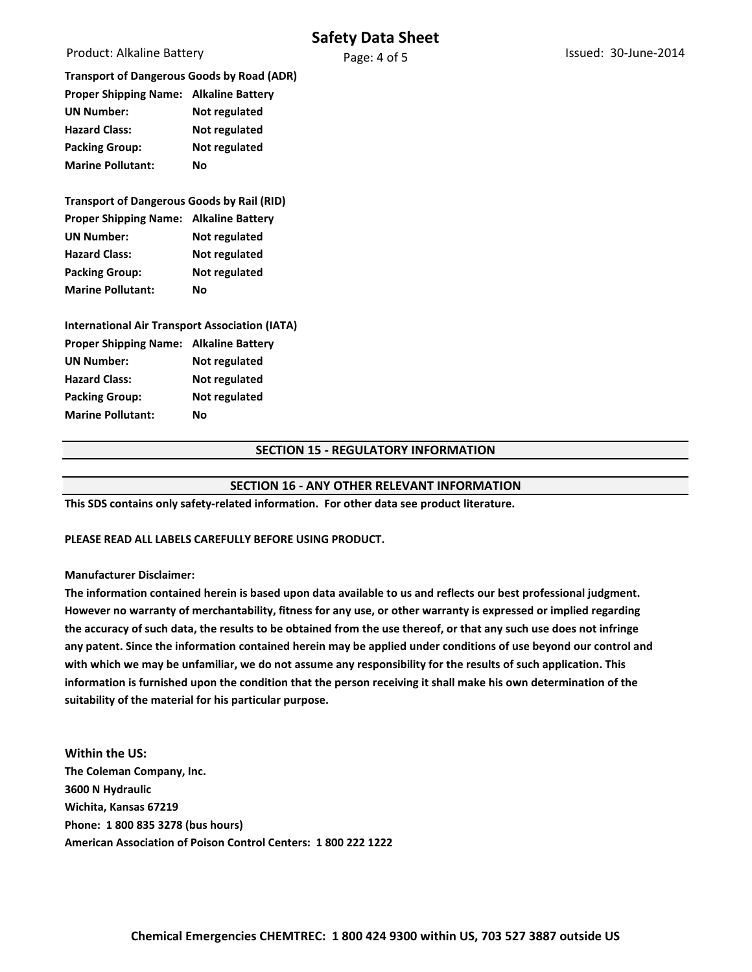## **Safety Data Sheet**

Product: Alkaline Battery

| <b>Transport of Dangerous Goods by Road (ADR)</b> |               |
|---------------------------------------------------|---------------|
| <b>Proper Shipping Name: Alkaline Battery</b>     |               |
| <b>UN Number:</b>                                 | Not regulated |
| <b>Hazard Class:</b>                              | Not regulated |
| <b>Packing Group:</b>                             | Not regulated |
| <b>Marine Pollutant:</b>                          | Nο            |
|                                                   |               |

# **Transport of Dangerous Goods by Rail (RID) Proper Shipping Name: Alkaline Battery UN Number: Not regulated Hazard Class: Not regulated Packing Group: Not regulated Marine Pollutant: No**

**International Air Transport Association (IATA) Proper Shipping Name: Alkaline Battery UN Number: Not regulated Hazard Class: Not regulated Packing Group: Not regulated Marine Pollutant: No**

### **SECTION 15 - REGULATORY INFORMATION**

## **SECTION 16 - ANY OTHER RELEVANT INFORMATION**

**This SDS contains only safety-related information. For other data see product literature.**

#### **PLEASE READ ALL LABELS CAREFULLY BEFORE USING PRODUCT.**

#### **Manufacturer Disclaimer:**

**The information contained herein is based upon data available to us and reflects our best professional judgment. However no warranty of merchantability, fitness for any use, or other warranty is expressed or implied regarding the accuracy of such data, the results to be obtained from the use thereof, or that any such use does not infringe any patent. Since the information contained herein may be applied under conditions of use beyond our control and with which we may be unfamiliar, we do not assume any responsibility for the results of such application. This information is furnished upon the condition that the person receiving it shall make his own determination of the suitability of the material for his particular purpose.** 

**Within the US: The Coleman Company, Inc. 3600 N Hydraulic Wichita, Kansas 67219 Phone: 1 800 835 3278 (bus hours) American Association of Poison Control Centers: 1 800 222 1222**